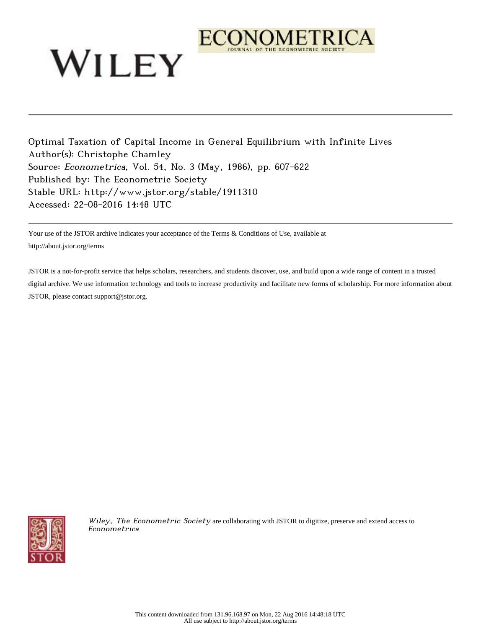



Optimal Taxation of Capital Income in General Equilibrium with Infinite Lives Author(s): Christophe Chamley Source: Econometrica, Vol. 54, No. 3 (May, 1986), pp. 607-622 Published by: The Econometric Society Stable URL: http://www.jstor.org/stable/1911310 Accessed: 22-08-2016 14:48 UTC

Your use of the JSTOR archive indicates your acceptance of the Terms & Conditions of Use, available at http://about.jstor.org/terms

JSTOR is a not-for-profit service that helps scholars, researchers, and students discover, use, and build upon a wide range of content in a trusted digital archive. We use information technology and tools to increase productivity and facilitate new forms of scholarship. For more information about JSTOR, please contact support@jstor.org.



Wiley, The Econometric Society are collaborating with JSTOR to digitize, preserve and extend access to Econometrica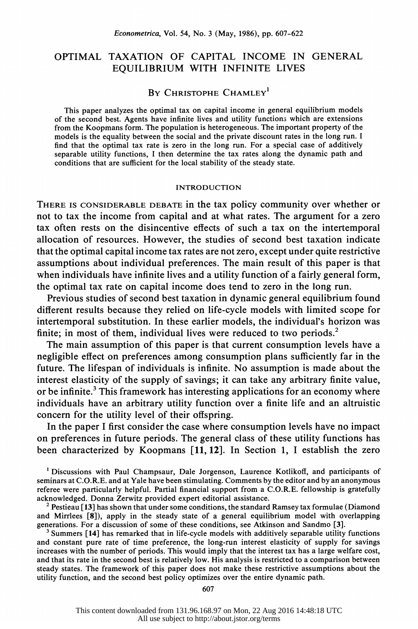# OPTIMAL TAXATION OF CAPITAL INCOME IN GENERAL EQUILIBRIUM WITH INFINITE LIVES

# BY CHRISTOPHE CHAMLEY<sup>1</sup>

 This paper analyzes the optimal tax on capital income in general equilibrium models of the second best. Agents have infinite lives and utility functions which are extensions from the Koopmans form. The population is heterogeneous. The important property of the models is the equality between the social and the private discount rates in the long run. I find that the optimal tax rate is zero in the long run. For a special case of additively separable utility functions, I then determine the tax rates along the dynamic path and conditions that are sufficient for the local stability of the steady state.

# INTRODUCTION

 THERE IS CONSIDERABLE DEBATE in the tax policy community over whether or not to tax the income from capital and at what rates. The argument for a zero tax often rests on the disincentive effects of such a tax on the intertemporal allocation of resources. However, the studies of second best taxation indicate that the optimal capital income tax rates are not zero, except under quite restrictive assumptions about individual preferences. The main result of this paper is that when individuals have infinite lives and a utility function of a fairly general form, the optimal tax rate on capital income does tend to zero in the long run.

 Previous studies of second best taxation in dynamic general equilibrium found different results because they relied on life-cycle models with limited scope for intertemporal substitution. In these earlier models, the individual's horizon was finite; in most of them, individual lives were reduced to two periods. $2^{\circ}$ 

 The main assumption of this paper is that current consumption levels have a negligible effect on preferences among consumption plans sufficiently far in the future. The lifespan of individuals is infinite. No assumption is made about the interest elasticity of the supply of savings; it can take any arbitrary finite value, or be infinite.<sup>3</sup> This framework has interesting applications for an economy where individuals have an arbitrary utility function over a finite life and an altruistic concern for the utility level of their offspring.

 In the paper I first consider the case where consumption levels have no impact on preferences in future periods. The general class of these utility functions has been characterized by Koopmans [11, 12]. In Section 1, I establish the zero

 1 Discussions with Paul Champsaur, Dale Jorgenson, Laurence Kotlikoff, and participants of seminars at C.O.R.E. and at Yale have been stimulating. Comments by the editor and by an anonymous referee were particularly helpful. Partial financial support from a C.O.R.E. fellowship is gratefully acknowledged. Donna Zerwitz provided expert editorial assistance.

 $2$  Pestieau [13] has shown that under some conditions, the standard Ramsey tax formulae (Diamond and Mirrlees [8]), apply in the steady state of a general equilibrium model with overlapping generations. For a discussion of some of these conditions, see Atkinson and Sandmo [3].

<sup>3</sup> Summers [14] has remarked that in life-cycle models with additively separable utility functions and constant pure rate of time preference, the long-run interest elasticity of supply for savings increases with the number of periods. This would imply that the interest tax has a large welfare cost, and that its rate in the second best is relatively low. His analysis is restricted to a comparison between steady states. The framework of this paper does not make these restrictive assumptions about the utility function, and the second best policy optimizes over the entire dynamic path.

607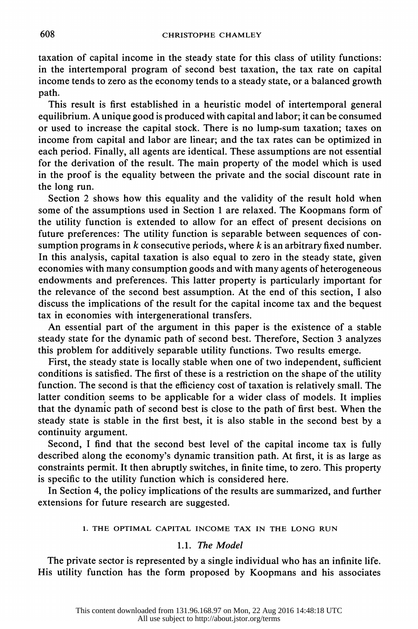taxation of capital income in the steady state for this class of utility functions: in the intertemporal program of second best taxation, the tax rate on capital income tends to zero as the economy tends to a steady state, or a balanced growth path.

 This result is first established in a heuristic model of intertemporal general equilibrium. A unique good is produced with capital and labor; it can be consumed or used to increase the capital stock. There is no lump-sum taxation; taxes on income from capital and labor are linear; and the tax rates can be optimized in each period. Finally, all agents are identical. These assumptions are not essential for the derivation of the result. The main property of the model which is used in the proof is the equality between the private and the social discount rate in the long run.

 Section 2 shows how this equality and the validity of the result hold when some of the assumptions used in Section 1 are relaxed. The Koopmans form of the utility function is extended to allow for an effect of present decisions on future preferences: The utility function is separable between sequences of con sumption programs in  $k$  consecutive periods, where  $k$  is an arbitrary fixed number. In this analysis, capital taxation is also equal to zero in the steady state, given economies with many consumption goods and with many agents of heterogeneous endowments and preferences. This latter property is particularly important for the relevance of the second best assumption. At the end of this section, I also discuss the implications of the result for the capital income tax and the bequest tax in economies with intergenerational transfers.

 An essential part of the argument in this paper is the existence of a stable steady state for the dynamic path of second best. Therefore, Section 3 analyzes this problem for additively separable utility functions. Two results emerge.

 First, the steady state is locally stable when one of two independent, sufficient conditions is satisfied. The first of these is a restriction on the shape of the utility function. The second is that the efficiency cost of taxation is relatively small. The latter condition seems to be applicable for a wider class of models. It implies that the dynamic path of second best is close to the path of first best. When the steady state is stable in the first best, it is also stable in the second best by a continuity argument.

 Second, I find that the second best level of the capital income tax is fully described along the economy's dynamic transition path. At first, it is as large as constraints permit. It then abruptly switches, in finite time, to zero. This property is specific to the utility function which is considered here.

 In Section 4, the policy implications of the results are summarized, and further extensions for future research are suggested.

# 1. THE OPTIMAL CAPITAL INCOME TAX IN THE LONG RUN

# 1.1. The Model

 The private sector is represented by a single individual who has an infinite life. His utility function has the form proposed by Koopmans and his associates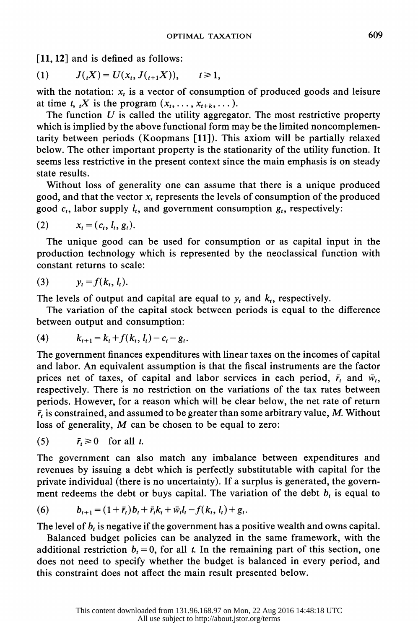[11, 12] and is defined as follows:

(1) 
$$
J_{t}X
$$
 =  $U(x_{t}, J_{t+1}X)$ ,  $t \ge 1$ ,

with the notation:  $x<sub>t</sub>$  is a vector of consumption of produced goods and leisure at time t,  $X_i$  is the program  $(x_t, \ldots, x_{t+k}, \ldots)$ .

The function  $U$  is called the utility aggregator. The most restrictive property which is implied by the above functional form may be the limited noncomplemen tarity between periods (Koopmans [11]). This axiom will be partially relaxed below. The other important property is the stationarity of the utility function. It seems less restrictive in the present context since the main emphasis is on steady state results.

 Without loss of generality one can assume that there is a unique produced good, and that the vector  $x_t$  represents the levels of consumption of the produced good  $c_t$ , labor supply  $l_t$ , and government consumption  $g_t$ , respectively:

$$
(2) \qquad x_t = (c_t, l_t, g_t).
$$

 The unique good can be used for consumption or as capital input in the production technology which is represented by the neoclassical function with constant returns to scale:

$$
(3) \t y_t = f(k_t, l_t).
$$

The levels of output and capital are equal to  $y_t$  and  $k_t$ , respectively.

 The variation of the capital stock between periods is equal to the difference between output and consumption:

(4) 
$$
k_{t+1} = k_t + f(k_t, l_t) - c_t - g_t.
$$

 The government finances expenditures with linear taxes on the incomes of capital and labor. An equivalent assumption is that the fiscal instruments are the factor prices net of taxes, of capital and labor services in each period,  $\bar{r}_t$  and  $\bar{w}_t$ , respectively. There is no restriction on the variations of the tax rates between periods. However, for a reason which will be clear below, the net rate of return  $\bar{r}_t$  is constrained, and assumed to be greater than some arbitrary value, M. Without loss of generality, M can be chosen to be equal to zero:

(5) 
$$
\bar{r}_t \ge 0
$$
 for all *t*.

 The government can also match any imbalance between expenditures and revenues by issuing a debt which is perfectly substitutable with capital for the private individual (there is no uncertainty). If a surplus is generated, the govern ment redeems the debt or buys capital. The variation of the debt  $b<sub>t</sub>$  is equal to

(6) 
$$
b_{t+1} = (1 + \bar{r}_t) b_t + \bar{r}_t k_t + \bar{w}_t l_t - f(k_t, l_t) + g_t.
$$

The level of  $b<sub>i</sub>$  is negative if the government has a positive wealth and owns capital.

 Balanced budget policies can be analyzed in the same framework, with the additional restriction  $b_t = 0$ , for all t. In the remaining part of this section, one does not need to specify whether the budget is balanced in every period, and this constraint does not affect the main result presented below.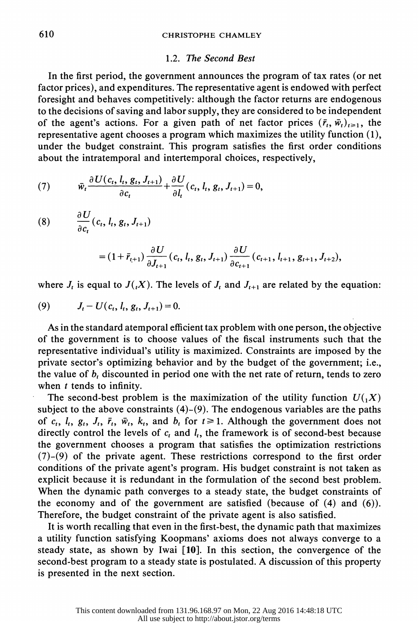## 1.2. The Second Best

 In the first period, the government announces the program of tax rates (or net factor prices), and expenditures. The representative agent is endowed with perfect foresight and behaves competitively: although the factor returns are endogenous to the decisions of saving and labor supply, they are considered to be independent of the agent's actions. For a given path of net factor prices  $(\bar{r}_t, \bar{w}_t)_{t\geq 1}$ , the representative agent chooses a program which maximizes the utility function (1), under the budget constraint. This program satisfies the first order conditions about the intratemporal and intertemporal choices, respectively,

(7) 
$$
\bar{w}_t \frac{\partial U(c_t, l_t, g_t, J_{t+1})}{\partial c_t} + \frac{\partial U}{\partial l_t}(c_t, l_t, g_t, J_{t+1}) = 0,
$$

$$
(8) \qquad \frac{\partial U}{\partial c_i}(c_i, l_i, g_i, J_{i+1})
$$

$$
= (1 + \bar{r}_{t+1}) \frac{\partial U}{\partial J_{t+1}}(c_t, l_t, g_t, J_{t+1}) \frac{\partial U}{\partial c_{t+1}}(c_{t+1}, l_{t+1}, g_{t+1}, J_{t+2}),
$$

where  $J_t$  is equal to  $J_t X$ ). The levels of  $J_t$  and  $J_{t+1}$  are related by the equation:

(9) 
$$
J_t - U(c_t, l_t, g_t, J_{t+1}) = 0.
$$

 As in the standard atemporal efficient tax problem with one person, the objective of the government is to choose values of the fiscal instruments such that the representative individual's utility is maximized. Constraints are imposed by the private sector's optimizing behavior and by the budget of the government; i.e., the value of  $b_t$  discounted in period one with the net rate of return, tends to zero when  $t$  tends to infinity.

The second-best problem is the maximization of the utility function  $U(\chi)$ subject to the above constraints  $(4)-(9)$ . The endogenous variables are the paths of  $c_t$ ,  $l_t$ ,  $g_t$ ,  $J_t$ ,  $\bar{r}_t$ ,  $\bar{w}_t$ ,  $k_t$ , and  $b_t$  for  $t \ge 1$ . Although the government does not directly control the levels of  $c_t$  and  $l_t$ , the framework is of second-best because the government chooses a program that satisfies the optimization restrictions (7)-(9) of the private agent. These restrictions correspond to the first order conditions of the private agent's program. His budget constraint is not taken as explicit because it is redundant in the formulation of the second best problem. When the dynamic path converges to a steady state, the budget constraints of the economy and of the government are satisfied (because of (4) and (6)). Therefore, the budget constraint of the private agent is also satisfied.

 It is worth recalling that even in the first-best, the dynamic path that maximizes a utility function satisfying Koopmans' axioms does not always converge to a steady state, as shown by Iwai [10]. In this section, the convergence of the second-best program to a steady state is postulated. A discussion of this property is presented in the next section.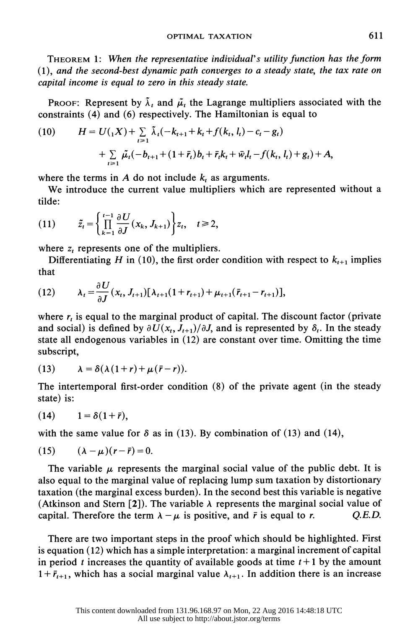THEOREM 1: When the representative individual's utility function has the form (1), and the second-best dynamic path converges to a steady state, the tax rate on capital income is equal to zero in this steady state.

PROOF: Represent by  $\tilde{\lambda}_t$  and  $\tilde{\mu}_t$  the Lagrange multipliers associated with the constraints (4) and (6) respectively. The Hamiltonian is equal to

(10) 
$$
H = U(_{1}X) + \sum_{t \geq 1} \tilde{\lambda}_{t}(-k_{t+1} + k_{t} + f(k_{t}, l_{t}) - c_{t} - g_{t}) + \sum_{t \geq 1} \tilde{\mu}_{t}(-b_{t+1} + (1 + \bar{r}_{t})b_{t} + \bar{r}_{t}k_{t} + \bar{w}_{t}l_{t} - f(k_{t}, l_{t}) + g_{t}) + A,
$$

where the terms in A do not include  $k_t$  as arguments.

 We introduce the current value multipliers which are represented without a tilde:

(11) 
$$
\tilde{z}_t = \left\{ \prod_{k=1}^{t-1} \frac{\partial U}{\partial J}(x_k, J_{k+1}) \right\} z_t, \quad t \geq 2,
$$

where  $z_t$  represents one of the multipliers.

Differentiating H in (10), the first order condition with respect to  $k_{t+1}$  implies that

(12) 
$$
\lambda_t = \frac{\partial U}{\partial J}(x_t, J_{t+1})[\lambda_{t+1}(1+r_{t+1}) + \mu_{t+1}(\bar{r}_{t+1} - r_{t+1})],
$$

where  $r_t$  is equal to the marginal product of capital. The discount factor (private and social) is defined by  $\partial U(x_t, J_{t+1})/\partial J$ , and is represented by  $\delta_t$ . In the steady state all endogenous variables in (12) are constant over time. Omitting the time subscript,

(13) 
$$
\lambda = \delta(\lambda(1+r) + \mu(\bar{r}-r)).
$$

 The intertemporal first-order condition (8) of the private agent (in the steady state) is:

$$
(14) \qquad 1 = \delta(1+\bar{r}),
$$

with the same value for  $\delta$  as in (13). By combination of (13) and (14),

(15) 
$$
(\lambda - \mu)(r - \bar{r}) = 0.
$$

The variable  $\mu$  represents the marginal social value of the public debt. It is also equal to the marginal value of replacing lump sum taxation by distortionary taxation (the marginal excess burden). In the second best this variable is negative (Atkinson and Stern [2]). The variable  $\lambda$  represents the marginal social value of capital. Therefore the term  $\lambda - \mu$  is positive, and  $\bar{r}$  is equal to r. Q.E.D. capital. Therefore the term  $\lambda - \mu$  is positive, and  $\bar{r}$  is equal to r.

 There are two important steps in the proof which should be highlighted. First is equation (12) which has a simple interpretation: a marginal increment of capital in period t increases the quantity of available goods at time  $t + 1$  by the amount  $1 + \bar{r}_{t+1}$ , which has a social marginal value  $\lambda_{t+1}$ . In addition there is an increase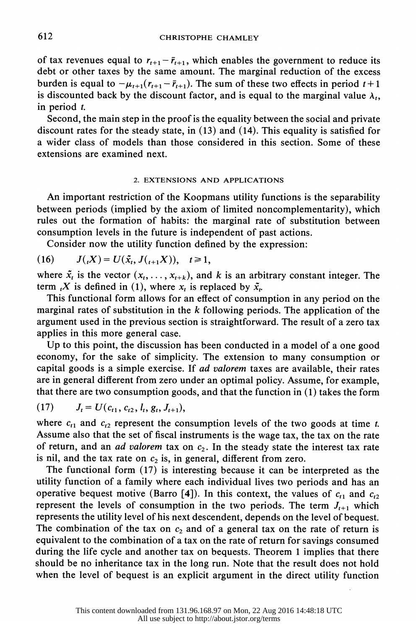of tax revenues equal to  $r_{t+1} - \bar{r}_{t+1}$ , which enables the government to reduce its debt or other taxes by the same amount. The marginal reduction of the excess burden is equal to  $-\mu_{t+1}(r_{t+1} - \bar{r}_{t+1})$ . The sum of these two effects in period  $t+1$ is discounted back by the discount factor, and is equal to the marginal value  $\lambda_t$ , in period t.

 Second, the main step in the proof is the equality between the social and private discount rates for the steady state, in (13) and (14). This equality is satisfied for a wider class of models than those considered in this section. Some of these extensions are examined next.

## 2. EXTENSIONS AND APPLICATIONS

 An important restriction of the Koopmans utility functions is the separability between periods (implied by the axiom of limited noncomplementarity), which rules out the formation of habits: the marginal rate of substitution between consumption levels in the future is independent of past actions.

Consider now the utility function defined by the expression:

(16) 
$$
J_{t}X
$$
 =  $U(\tilde{x}_{t}, J_{t+1}X)$ ,  $t \ge 1$ ,

where  $\tilde{x}_t$  is the vector  $(x_t, \ldots, x_{t+k})$ , and k is an arbitrary constant integer. The term  $X$  is defined in (1), where x<sub>t</sub> is replaced by  $\tilde{x}_t$ .

 This functional form allows for an effect of consumption in any period on the marginal rates of substitution in the  $k$  following periods. The application of the argument used in the previous section is straightforward. The result of a zero tax applies in this more general case.

 Up to this point, the discussion has been conducted in a model of a one good economy, for the sake of simplicity. The extension to many consumption or capital goods is a simple exercise. If ad valorem taxes are available, their rates are in general different from zero under an optimal policy. Assume, for example, that there are two consumption goods, and that the function in (1) takes the form

$$
(17) \tJt = U(ct1, ct2, lt, gt, Jt+1),
$$

where  $c_{t1}$  and  $c_{t2}$  represent the consumption levels of the two goods at time t. Assume also that the set of fiscal instruments is the wage tax, the tax on the rate of return, and an *ad valorem* tax on  $c_2$ . In the steady state the interest tax rate is nil, and the tax rate on  $c_2$  is, in general, different from zero.

 The functional form (17) is interesting because it can be interpreted as the utility function of a family where each individual lives two periods and has an operative bequest motive (Barro [4]). In this context, the values of  $c_{t1}$  and  $c_{t2}$ represent the levels of consumption in the two periods. The term  $J_{t+1}$  which represents the utility level of his next descendent, depends on the level of bequest. The combination of the tax on  $c_2$  and of a general tax on the rate of return is equivalent to the combination of a tax on the rate of return for savings consumed during the life cycle and another tax on bequests. Theorem 1 implies that there should be no inheritance tax in the long run. Note that the result does not hold when the level of bequest is an explicit argument in the direct utility function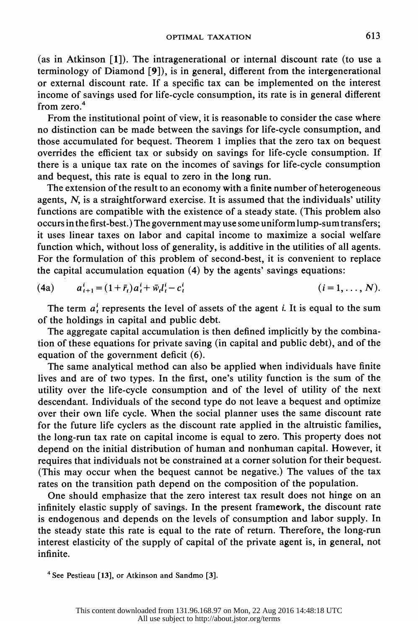(as in Atkinson [1]). The intragenerational or internal discount rate (to use a terminology of Diamond [9]), is in general, different from the intergenerational or external discount rate. If a specific tax can be implemented on the interest income of savings used for life-cycle consumption, its rate is in general different from zero.4

 From the institutional point of view, it is reasonable to consider the case where no distinction can be made between the savings for life-cycle consumption, and those accumulated for bequest. Theorem 1 implies that the zero tax on bequest overrides the efficient tax or subsidy on savings for life-cycle consumption. If there is a unique tax rate on the incomes of savings for life-cycle consumption and bequest, this rate is equal to zero in the long run.

 The extension of the result to an economy with a finite number of heterogeneous agents, N, is a straightforward exercise. It is assumed that the individuals' utility functions are compatible with the existence of a steady state. (This problem also occurs in the first-best.) The government may use some uniform lump-sum transfers; it uses linear taxes on labor and capital income to maximize a social welfare function which, without loss of generality, is additive in the utilities of all agents. For the formulation of this problem of second-best, it is convenient to replace the capital accumulation equation (4) by the agents' savings equations:

(4a) 
$$
a_{t+1}^i = (1 + \bar{r}_t) a_t^i + \bar{w}_t l_t^i - c_t^i
$$
   
  $(i = 1, ..., N).$ 

The term  $a_i^i$  represents the level of assets of the agent *i*. It is equal to the sum of the holdings in capital and public debt.

 The aggregate capital accumulation is then defined implicitly by the combina tion of these equations for private saving (in capital and public debt), and of the equation of the government deficit (6).

 The same analytical method can also be applied when individuals have finite lives and are of two types. In the first, one's utility function is the sum of the utility over the life-cycle consumption and of the level of utility of the next descendant. Individuals of the second type do not leave a bequest and optimize over their own life cycle. When the social planner uses the same discount rate for the future life cyclers as the discount rate applied in the altruistic families, the long-run tax rate on capital income is equal to zero. This property does not depend on the initial distribution of human and nonhuman capital. However, it requires that individuals not be constrained at a corner solution for their bequest. (This may occur when the bequest cannot be negative.) The values of the tax rates on the transition path depend on the composition of the population.

 One should emphasize that the zero interest tax result does not hinge on an infinitely elastic supply of savings. In the present framework, the discount rate is endogenous and depends on the levels of consumption and labor supply. In the steady state this rate is equal to the rate of return. Therefore, the long-run interest elasticity of the supply of capital of the private agent is, in general, not infinite.

4 See Pestieau [13], or Atkinson and Sandmo [3].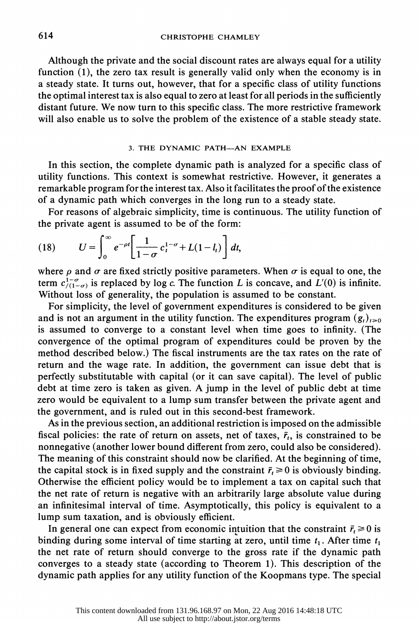Although the private and the social discount rates are always equal for a utility function (1), the zero tax result is generally valid only when the economy is in a steady state. It turns out, however, that for a specific class of utility functions the optimal interest tax is also equal to zero at least for all periods in the sufficiently distant future. We now turn to this specific class. The more restrictive framework will also enable us to solve the problem of the existence of a stable steady state.

## 3. THE DYNAMIC PATH-AN EXAMPLE

 In this section, the complete dynamic path is analyzed for a specific class of utility functions. This context is somewhat restrictive. However, it generates a remarkable program for the interest tax. Also it facilitates the proof of the existence of a dynamic path which converges in the long run to a steady state.

 For reasons of algebraic simplicity, time is continuous. The utility function of the private agent is assumed to be of the form:

(18) 
$$
U = \int_0^\infty e^{-\rho t} \left[ \frac{1}{1 - \sigma} c_t^{1 - \sigma} + L(1 - l_t) \right] dt,
$$

where  $\rho$  and  $\sigma$  are fixed strictly positive parameters. When  $\sigma$  is equal to one, the term  $c_{(1-\sigma)}^{1-\sigma}$  is replaced by log c. The function L is concave, and  $L'(0)$  is infinite. Without loss of generality, the population is assumed to be constant.

 For simplicity, the level of government expenditures is considered to be given and is not an argument in the utility function. The expenditures program  $(g_t)_{t\geq0}$  is assumed to converge to a constant level when time goes to infinity. (The convergence of the optimal program of expenditures could be proven by the method described below.) The fiscal instruments are the tax rates on the rate of return and the wage rate. In addition, the government can issue debt that is perfectly substitutable with capital (or it can save capital). The level of public debt at time zero is taken as given. A jump in the level of public debt at time zero would be equivalent to a lump sum transfer between the private agent and the government, and is ruled out in this second-best framework.

 As in the previous section, an additional restriction is imposed on the admissible fiscal policies: the rate of return on assets, net of taxes,  $\bar{r}_t$ , is constrained to be nonnegative (another lower bound different from zero, could also be considered). The meaning of this constraint should now be clarified. At the beginning of time, the capital stock is in fixed supply and the constraint  $\bar{r}_t \ge 0$  is obviously binding. Otherwise the efficient policy would be to implement a tax on capital such that the net rate of return is negative with an arbitrarily large absolute value during an infinitesimal interval of time. Asymptotically, this policy is equivalent to a lump sum taxation, and is obviously efficient.

In general one can expect from economic intuition that the constraint  $\bar{r}_t \ge 0$  is binding during some interval of time starting at zero, until time  $t_1$ . After time  $t_1$  the net rate of return should converge to the gross rate if the dynamic path converges to a steady state (according to Theorem 1). This description of the dynamic path applies for any utility function of the Koopmans type. The special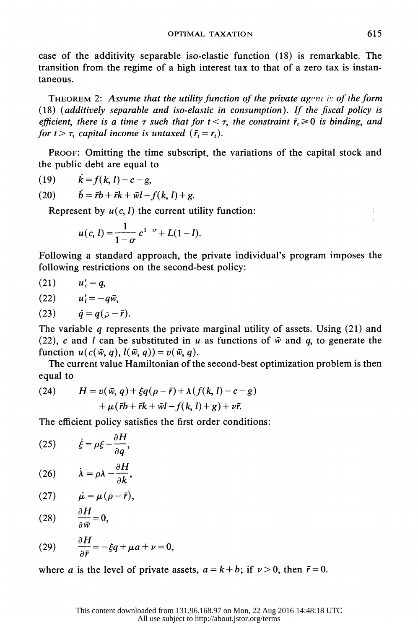case of the additivity separable iso-elastic function (18) is remarkable. The transition from the regime of a high interest tax to that of a zero tax is instan taneous.

THEOREM 2: Assume that the utility function of the private agent is of the form (18) (additively separable and iso-elastic in consumption). If the fiscal policy is efficient, there is a time  $\tau$  such that for  $t < \tau$ , the constraint  $\bar{r}_t \geq 0$  is binding, and for  $t > \tau$ , capital income is untaxed  $(\bar{r}_t = r_t)$ .

 PROOF: Omitting the time subscript, the variations of the capital stock and the public debt are equal to

$$
(19) \qquad \dot{k}=f(k,l)-c-g,
$$

(20)  $\vec{b} = \vec{r}b + \vec{r}k + \vec{w}l - f(k, l) + g$ .

Represent by  $u(c, l)$  the current utility function:

$$
u(c, l) = \frac{1}{1 - \sigma} c^{1 - \sigma} + L(1 - l).
$$

 Following a standard approach, the private individual's program imposes the following restrictions on the second-best policy:

$$
(21) \qquad u'_c = q,
$$

- $(22)$   $u'_1 = -q\bar{w},$
- (23)  $\dot{q} = q(\bar{p}-\bar{r}).$

The variable  $q$  represents the private marginal utility of assets. Using  $(21)$  and (22), c and l can be substituted in u as functions of  $\bar{w}$  and q, to generate the function  $u(c(\overline{w}, q), l(\overline{w}, q)) = v(\overline{w}, q)$ .

 The current value Hamiltonian of the second-best optimization problem is then equal to

(24) 
$$
H = v(\overline{w}, q) + \xi q(\rho - \overline{r}) + \lambda (f(k, l) - c - g)
$$

$$
+ \mu (\overline{r}b + \overline{r}k + \overline{w}l - f(k, l) + g) + \nu \overline{r}.
$$

The efficient policy satisfies the first order conditions:

(25) 
$$
\dot{\xi} = \rho \xi - \frac{\partial H}{\partial q},
$$

$$
(26) \qquad \dot{\lambda} = \rho \lambda - \frac{\partial H}{\partial k},
$$

$$
(27) \qquad \dot{\mu} = \mu (\rho - \bar{r}),
$$

$$
(28) \qquad \frac{\partial H}{\partial \bar{w}} = 0,
$$

(29) 
$$
\frac{\partial H}{\partial \bar{r}} = -\xi q + \mu a + \nu = 0,
$$

where a is the level of private assets,  $a = k + b$ ; if  $\nu > 0$ , then  $\bar{r} = 0$ .

÷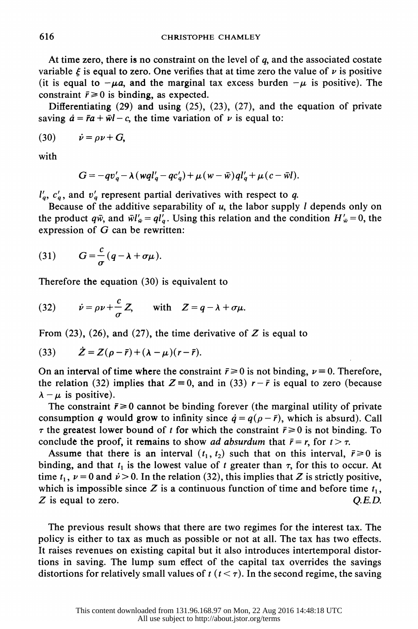At time zero, there is no constraint on the level of  $q$ , and the associated costate variable  $\xi$  is equal to zero. One verifies that at time zero the value of  $\nu$  is positive (it is equal to  $-\mu a$ , and the marginal tax excess burden  $-\mu$  is positive). The constraint  $\bar{r} \ge 0$  is binding, as expected.

 Differentiating (29) and using (25), (23), (27), and the equation of private saving  $\dot{a} = \bar{r}a + \bar{w}l - c$ , the time variation of  $\nu$  is equal to:

$$
(30) \qquad \dot{\nu} = \rho \nu + G,
$$

with

$$
G=-qv'_{q}-\lambda (wql'_{q}-qc'_{q})+\mu (w-\bar{w})ql'_{q}+\mu (c-\bar{w}l).
$$

 $l'_q$ ,  $c'_q$ , and  $v'_q$  represent partial derivatives with respect to q.

Because of the additive separability of  $u$ , the labor supply  $l$  depends only on the product  $q\bar{w}$ , and  $\bar{w}l'_{\bar{w}} = ql'_{q}$ . Using this relation and the condition  $H'_{\bar{w}} = 0$ , the expression of G can be rewritten:

(31) 
$$
G = \frac{c}{\sigma} (q - \lambda + \sigma \mu).
$$

Therefore the equation (30) is equivalent to

(32) 
$$
\dot{\nu} = \rho \nu + \frac{c}{\sigma} Z
$$
, with  $Z = q - \lambda + \sigma \mu$ .

From  $(23)$ ,  $(26)$ , and  $(27)$ , the time derivative of Z is equal to

(33) 
$$
\dot{Z} = Z(\rho - \bar{r}) + (\lambda - \mu)(r - \bar{r}).
$$

On an interval of time where the constraint  $\bar{r} \ge 0$  is not binding,  $\nu = 0$ . Therefore, the relation (32) implies that  $Z = 0$ , and in (33)  $r - \bar{r}$  is equal to zero (because  $\lambda - \mu$  is positive).

The constraint  $\bar{r} \ge 0$  cannot be binding forever (the marginal utility of private consumption q would grow to infinity since  $\dot{q} = q(\rho - \bar{r})$ , which is absurd). Call  $\tau$  the greatest lower bound of t for which the constraint  $\bar{r} \ge 0$  is not binding. To conclude the proof, it remains to show ad absurdum that  $\bar{r} = r$ , for  $t > \tau$ .

Assume that there is an interval  $(t_1, t_2)$  such that on this interval,  $\bar{r} \ge 0$  is binding, and that  $t_1$  is the lowest value of t greater than  $\tau$ , for this to occur. At time  $t_1$ ,  $\nu = 0$  and  $\dot{\nu} > 0$ . In the relation (32), this implies that Z is strictly positive, which is impossible since Z is a continuous function of time and before time  $t_1$ ,<br>Z is equal to zero.  $Q.E.D.$ 

 The previous result shows that there are two regimes for the interest tax. The policy is either to tax as much as possible or not at all. The tax has two effects. policy is either to tax as much as possible or not at all. The tax has two effects.<br>It raises revenues on existing capital but it also introduces intertemporal distor-<br>tions in equing. The lumn cum effect of the equipel ta It raises revenues on existing capital but it also introduces intertemporal distor-<br>tions in saving. The lump sum effect of the capital tax overrides the savings<br>distortions for relatively email values of  $t$  ( $t < \pi$ ). In tions in saving. The lump sum effect of the capital tax overrides the savings distortions for relatively small values of  $t (t < \tau)$ . In the second regime, the saving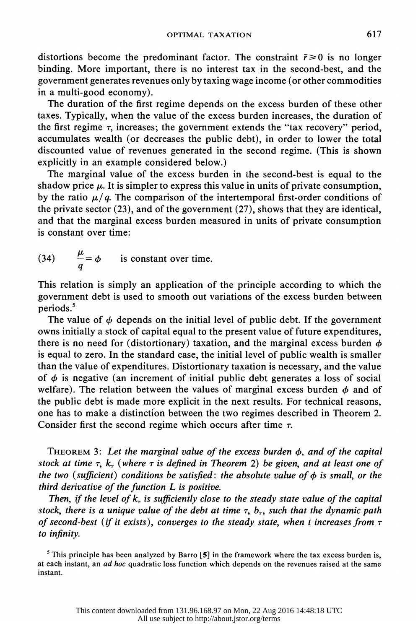distortions become the predominant factor. The constraint  $\bar{r} \ge 0$  is no longer binding. More important, there is no interest tax in the second-best, and the government generates revenues only by taxing wage income (or other commodities in a multi-good economy).

 The duration of the first regime depends on the excess burden of these other taxes. Typically, when the value of the excess burden increases, the duration of the first regime  $\tau$ , increases; the government extends the "tax recovery" period, accumulates wealth (or decreases the public debt), in order to lower the total discounted value of revenues generated in the second regime. (This is shown explicitly in an example considered below.)

 The marginal value of the excess burden in the second-best is equal to the shadow price  $\mu$ . It is simpler to express this value in units of private consumption, by the ratio  $\mu/q$ . The comparison of the intertemporal first-order conditions of the private sector (23), and of the government (27), shows that they are identical, and that the marginal excess burden measured in units of private consumption is constant over time:

(34) 
$$
\frac{\mu}{q} = \phi
$$
 is constant over time.

 This relation is simply an application of the principle according to which the government debt is used to smooth out variations of the excess burden between periods.<sup>5</sup>

The value of  $\phi$  depends on the initial level of public debt. If the government owns initially a stock of capital equal to the present value of future expenditures, there is no need for (distortionary) taxation, and the marginal excess burden  $\phi$  is equal to zero. In the standard case, the initial level of public wealth is smaller than the value of expenditures. Distortionary taxation is necessary, and the value of  $\phi$  is negative (an increment of initial public debt generates a loss of social welfare). The relation between the values of marginal excess burden  $\phi$  and of the public debt is made more explicit in the next results. For technical reasons, one has to make a distinction between the two regimes described in Theorem 2. Consider first the second regime which occurs after time  $\tau$ .

THEOREM 3: Let the marginal value of the excess burden  $\phi$ , and of the capital stock at time  $\tau$ ,  $k_{\tau}$  (where  $\tau$  is defined in Theorem 2) be given, and at least one of the two (sufficient) conditions be satisfied: the absolute value of  $\phi$  is small, or the third derivative of the function L is positive.

Then, if the level of  $k<sub>r</sub>$  is sufficiently close to the steady state value of the capital stock, there is a unique value of the debt at time  $\tau$ ,  $b_{\tau}$ , such that the dynamic path of second-best (if it exists), converges to the steady state, when t increases from  $\tau$ to infinity.

<sup>5</sup> This principle has been analyzed by Barro [5] in the framework where the tax excess burden is, at each instant, an ad hoc quadratic loss function which depends on the revenues raised at the same instant.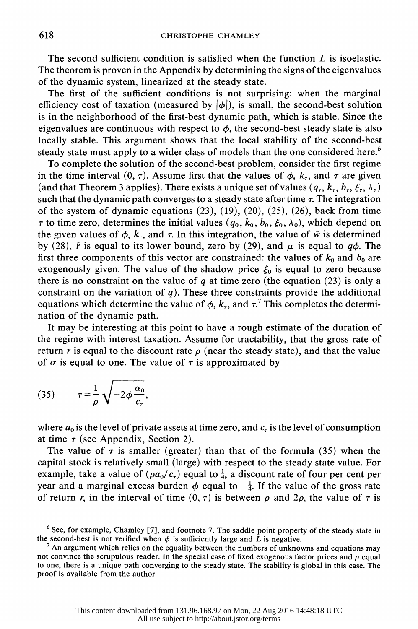The second sufficient condition is satisfied when the function  $L$  is isoelastic. The theorem is proven in the Appendix by determining the signs of the eigenvalues of the dynamic system, linearized at the steady state.

 The first of the sufficient conditions is not surprising: when the marginal efficiency cost of taxation (measured by  $|\phi|$ ), is small, the second-best solution is in the neighborhood of the first-best dynamic path, which is stable. Since the eigenvalues are continuous with respect to  $\phi$ , the second-best steady state is also locally stable. This argument shows that the local stability of the second-best steady state must apply to a wider class of models than the one considered here.<sup>6</sup>

 To complete the solution of the second-best problem, consider the first regime in the time interval  $(0, \tau)$ . Assume first that the values of  $\phi$ ,  $k_{\tau}$ , and  $\tau$  are given (and that Theorem 3 applies). There exists a unique set of values  $(q_r, k_r, b_r, \xi_r, \lambda_r)$ such that the dynamic path converges to a steady state after time  $\tau$ . The integration of the system of dynamic equations  $(23)$ ,  $(19)$ ,  $(20)$ ,  $(25)$ ,  $(26)$ , back from time  $\tau$  to time zero, determines the initial values  $(q_0, k_0, b_0, \xi_0, \lambda_0)$ , which depend on the given values of  $\phi$ ,  $k_{\tau}$ , and  $\tau$ . In this integration, the value of  $\tilde{w}$  is determined by (28),  $\bar{r}$  is equal to its lower bound, zero by (29), and  $\mu$  is equal to  $q\phi$ . The first three components of this vector are constrained: the values of  $k_0$  and  $b_0$  are exogenously given. The value of the shadow price  $\xi_0$  is equal to zero because there is no constraint on the value of  $q$  at time zero (the equation (23) is only a constraint on the variation of  $q$ ). These three constraints provide the additional equations which determine the value of  $\phi$ ,  $k_r$ , and  $\tau$ .<sup>7</sup> This completes the determination of the dynamic path.

 It may be interesting at this point to have a rough estimate of the duration of the regime with interest taxation. Assume for tractability, that the gross rate of return r is equal to the discount rate  $\rho$  (near the steady state), and that the value of  $\sigma$  is equal to one. The value of  $\tau$  is approximated by

$$
(35) \qquad \tau = \frac{1}{\rho} \sqrt{-2\phi \frac{\alpha_0}{c_{\tau}}},
$$

where  $a_0$  is the level of private assets at time zero, and  $c<sub>r</sub>$  is the level of consumption at time  $\tau$  (see Appendix, Section 2).

The value of  $\tau$  is smaller (greater) than that of the formula (35) when the capital stock is relatively small (large) with respect to the steady state value. For example, take a value of  $(\rho a_0/c_{\tau})$  equal to  $\frac{1}{4}$ , a discount rate of four per cent per year and a marginal excess burden  $\phi$  equal to  $-\frac{1}{4}$ . If the value of the gross rate of return r, in the interval of time  $(0, \tau)$  is between  $\rho$  and  $2\rho$ , the value of  $\tau$  is

 $6$  See, for example, Chamley [7], and footnote 7. The saddle point property of the steady state in the second-best is not verified when  $\phi$  is sufficiently large and L is negative.

 $<sup>7</sup>$  An argument which relies on the equality between the numbers of unknowns and equations may</sup> not convince the scrupulous reader. In the special case of fixed exogenous factor prices and  $\rho$  equal to one, there is a unique path converging to the steady state. The stability is global in this case. The proof is available from the author.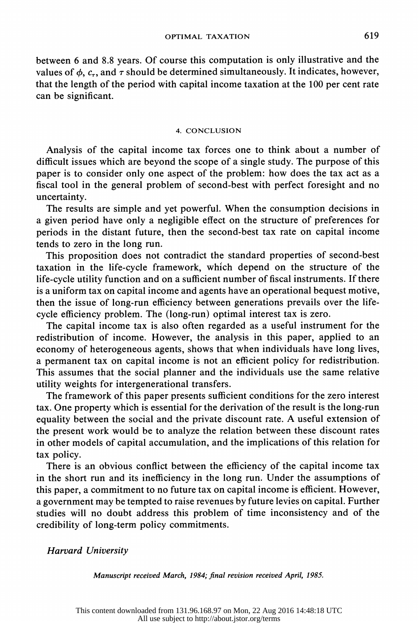between 6 and 8.8 years. Of course this computation is only illustrative and the values of  $\phi$ ,  $c_{\tau}$ , and  $\tau$  should be determined simultaneously. It indicates, however, that the length of the period with capital income taxation at the 100 per cent rate can be significant.

## 4. CONCLUSION

 Analysis of the capital income tax forces one to think about a number of difficult issues which are beyond the scope of a single study. The purpose of this paper is to consider only one aspect of the problem: how does the tax act as a fiscal tool in the general problem of second-best with perfect foresight and no uncertainty.

 The results are simple and yet powerful. When the consumption decisions in a given period have only a negligible effect on the structure of preferences for periods in the distant future, then the second-best tax rate on capital income tends to zero in the long run.

 This proposition does not contradict the standard properties of second-best taxation in the life-cycle framework, which depend on the structure of the life-cycle utility function and on a sufficient number of fiscal instruments. If there is a uniform tax on capital income and agents have an operational bequest motive, then the issue of long-run efficiency between generations prevails over the life cycle efficiency problem. The (long-run) optimal interest tax is zero.

 The capital income tax is also often regarded as a useful instrument for the redistribution of income. However, the analysis in this paper, applied to an economy of heterogeneous agents, shows that when individuals have long lives, a permanent tax on capital income is not an efficient policy for redistribution. This assumes that the social planner and the individuals use the same relative utility weights for intergenerational transfers.

 The framework of this paper presents sufficient conditions for the zero interest tax. One property which is essential for the derivation of the result is the long-run equality between the social and the private discount rate. A useful extension of the present work would be to analyze the relation between these discount rates in other models of capital accumulation, and the implications of this relation for tax policy.

 There is an obvious conflict between the efficiency of the capital income tax in the short run and its inefficiency in the long run. Under the assumptions of this paper, a commitment to no future tax on capital income is efficient. However, a government may be tempted to raise revenues by future levies on capital. Further studies will no doubt address this problem of time inconsistency and of the credibility of long-term policy commitments.

# Harvard University

Manuscript received March, 1984; final revision received April, 1985.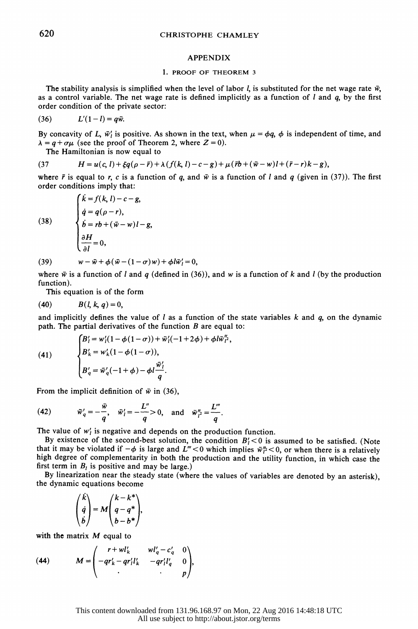### APPENDIX

### 1. PROOF OF THEOREM 3

The stability analysis is simplified when the level of labor *l*, is substituted for the net wage rate  $\bar{w}$ , as a control variable. The net wage rate is defined implicitly as a function of  $l$  and  $q$ , by the first order condition of the private sector:

$$
(36) \hspace{1cm} L'(1-l)=q\bar{w}.
$$

By concavity of L,  $\bar{w}'_i$  is positive. As shown in the text, when  $\mu = \phi q$ ,  $\phi$  is independent of time, and  $\lambda = q + \sigma \mu$  (see the proof of Theorem 2, where  $Z = 0$ ).

The Hamiltonian is now equal to

$$
(37 \tH = u(c, l) + \xi q(\rho - \bar{r}) + \lambda (f(k, l) - c - g) + \mu (\bar{r}b + (\bar{w} - w)l + (\bar{r} - r)k - g),
$$

where  $\vec{r}$  is equal to r, c is a function of q, and  $\vec{w}$  is a function of l and q (given in (37)). The first order conditions imply that:

(38)  

$$
\begin{cases}\n\vec{k} = f(k, l) - c - g, \\
\dot{q} = q(\rho - r), \\
\dot{b} = rb + (\bar{w} - w)l - g, \\
\frac{\partial H}{\partial l} = 0,\n\end{cases}
$$

$$
(39) \qquad w - \bar{w} + \phi(\bar{w} - (1 - \sigma)w) + \phi l \bar{w}'_l = 0,
$$

where  $\bar{w}$  is a function of l and q (defined in (36)), and w is a function of k and l (by the production function).

This equation is of the form

$$
(40) \hspace{1cm} B(l, k, q) = 0,
$$

and implicitly defines the value of  $l$  as a function of the state variables  $k$  and  $q$ , on the dynamic path. The partial derivatives of the function  $B$  are equal to:

(41)  
\n
$$
\begin{cases}\nB'_i = w'_i(1 - \phi(1 - \sigma)) + \bar{w}'_i(-1 + 2\phi) + \phi l \bar{w}'_i, \\
B'_k = w'_k(1 - \phi(1 - \sigma)), \\
B'_q = \bar{w}'_q(-1 + \phi) - \phi l \frac{\bar{w}'_l}{q}.\n\end{cases}
$$

From the implicit definition of  $\bar{w}$  in (36),

From the implicit definition of w in (36),  
\n(42) 
$$
\overline{w}'_q = -\frac{\overline{w}}{q}, \quad \overline{w}'_l = -\frac{L''}{q} > 0, \text{ and } \overline{w}''_l = \frac{L'''}{q}.
$$
  
\nThe value of  $w'_l$  is negative and depends on the production function.

By existence of the second-best solution, the condition  $B'_1 < 0$  is assumed to be satisfied. (Note that it may be violated if  $-\phi$  is large and  $L'''$  < 0 which implies  $\tilde{w}_l^{\mu}$  < 0, or when there is a relatively high degree of complementarity in both the production and the utility function, in which case the first term in  $B_l$  is positive and may be large.)

 By linearization near the steady state (where the values of variables are denoted by an asterisk), the dynamic equations become

$$
\begin{pmatrix} \dot{k} \\ \dot{q} \\ \dot{b} \end{pmatrix} = M \begin{pmatrix} k - k^* \\ q - q^* \\ b - b^* \end{pmatrix},
$$

with the matrix  $M$  equal to

(44) 
$$
M = \begin{pmatrix} r + w l'_k & w l'_q - c'_q & 0 \\ -q r'_k - q r'_l l'_k & -q r'_l l'_q & 0 \\ . & . & p \end{pmatrix},
$$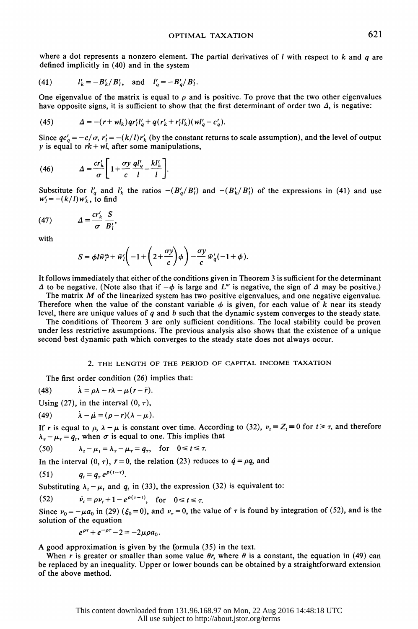where a dot represents a nonzero element. The partial derivatives of  $l$  with respect to  $k$  and  $q$  are defined implicitly in (40) and in the system

(41) 
$$
l'_k = -B'_k/B'_l
$$
, and  $l'_q = -B'_q/B'_l$ .

One eigenvalue of the matrix is equal to  $\rho$  and is positive. To prove that the two other eigenvalues have opposite signs, it is sufficient to show that the first determinant of order two  $\Delta$ , is negative:

(45) 
$$
\Delta = -(r + w l_k) q r'_l l'_q + q (r'_k + r'_l l'_k) (w l'_q - c'_q).
$$

Since  $qc'_q = -c/\sigma$ ,  $r'_l = -(k/l)r'_k$  (by the constant returns to scale assumption), and the level of output y is equal to  $rk +wl$ , after some manipulations,

(46) 
$$
\Delta = \frac{cr'_k}{\sigma} \left[ 1 + \frac{\sigma y}{c} \frac{ql'_q}{l} - \frac{kl'_k}{l} \right].
$$

Substitute for  $l'_a$  and  $l'_k$  the ratios  $-(B'_a/B'_i)$  and  $-(B'_k/B'_i)$  of the expressions in (41) and use  $w'_l = -(k/l)w'_k$ , to find

$$
(47) \t\t A = \frac{cr'_k}{\sigma} \frac{S}{B'_l},
$$

with

$$
S = \phi l \bar{w}_l^{\prime \prime} + \bar{w}_l^{\prime} \left( -1 + \left( 2 + \frac{\sigma y}{c} \right) \phi \right) - \frac{\sigma y}{c} \bar{w}_q^{\prime} (-1 + \phi).
$$

 It follows immediately that either of the conditions given in Theorem 3 is sufficient for the determinant  $\Delta$  to be negative. (Note also that if  $-\phi$  is large and L''' is negative, the sign of  $\Delta$  may be positive.)

The matrix  $M$  of the linearized system has two positive eigenvalues, and one negative eigenvalue. Therefore when the value of the constant variable  $\phi$  is given, for each value of k near its steady level, there are unique values of q and b such that the dynamic system converges to the steady state.

 The conditions of Theorem 3 are only sufficient conditions. The local stability could be proven under less restrictive assumptions. The previous analysis also shows that the existence of a unique second best dynamic path which converges to the steady state does not always occur.

### 2. THE LENGTH OF THE PERIOD OF CAPITAL INCOME TAXATION

The first order condition (26) implies that:

(48) 
$$
\lambda = \rho \lambda - r \lambda - \mu (r - \bar{r}).
$$

Using (27), in the interval  $(0, \tau)$ ,

(49)  $\dot{\lambda} - \dot{\mu} = (\rho - r)(\lambda - \mu).$ 

If r is equal to  $\rho$ ,  $\lambda - \mu$  is constant over time. According to (32),  $\nu_i = Z_i = 0$  for  $t \ge \tau$ , and therefore  $\lambda_{\tau}-\mu_{\tau}=q_{t}$ , when  $\sigma$  is equal to one. This implies that

(50) 
$$
\lambda_t - \mu_t = \lambda_\tau - \mu_\tau = q_\tau, \text{ for } 0 \leq t \leq \tau.
$$

In the interval  $(0, \tau)$ ,  $\bar{r} = 0$ , the relation (23) reduces to  $\dot{q} = \rho q$ , and

$$
(51) \hspace{1cm} q_t = q_\tau \, e^{p(t-\tau)}.
$$

Substituting  $\lambda_t - \mu_t$  and  $q_t$  in (33), the expression (32) is equivalent to:

(52) 
$$
\dot{v}_t = \rho v_t + 1 - e^{\rho(\tau - t)}, \text{ for } 0 \le t \le \tau.
$$

Since  $v_0 = -\mu a_0$  in (29) ( $\xi_0 = 0$ ), and  $v_\tau = 0$ , the value of  $\tau$  is found by integration of (52), and is the solution of the equation

$$
e^{\rho\tau}+e^{-\rho\tau}-2=-2\mu\rho a_0.
$$

A good approximation is given by the formula (35) in the text.

When r is greater or smaller than some value  $\theta r$ , where  $\theta$  is a constant, the equation in (49) can be replaced by an inequality. Upper or lower bounds can be obtained by a straightforward extension of the above method.